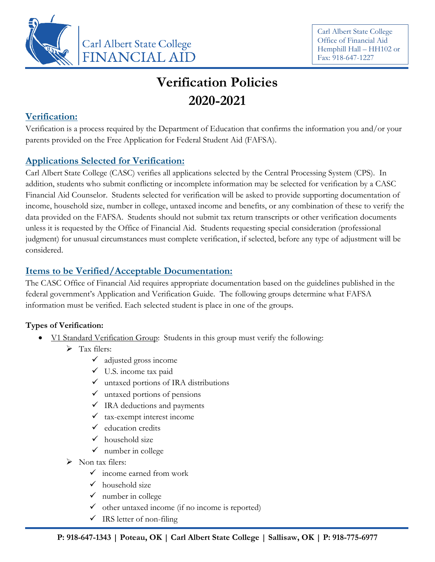

# **Verification Policies 2020-2021**

## **Verification:**

Verification is a process required by the Department of Education that confirms the information you and/or your parents provided on the Free Application for Federal Student Aid (FAFSA).

## **Applications Selected for Verification:**

Carl Albert State College (CASC) verifies all applications selected by the Central Processing System (CPS). In addition, students who submit conflicting or incomplete information may be selected for verification by a CASC Financial Aid Counselor. Students selected for verification will be asked to provide supporting documentation of income, household size, number in college, untaxed income and benefits, or any combination of these to verify the data provided on the FAFSA. Students should not submit tax return transcripts or other verification documents unless it is requested by the Office of Financial Aid. Students requesting special consideration (professional judgment) for unusual circumstances must complete verification, if selected, before any type of adjustment will be considered.

# **Items to be Verified/Acceptable Documentation:**

The CASC Office of Financial Aid requires appropriate documentation based on the guidelines published in the federal government's Application and Verification Guide. The following groups determine what FAFSA information must be verified. Each selected student is place in one of the groups.

### **Types of Verification:**

- V1 Standard Verification Group: Students in this group must verify the following:
	- $\triangleright$  Tax filers:
		- $\checkmark$  adjusted gross income
		- ✓ U.S. income tax paid
		- $\checkmark$  untaxed portions of IRA distributions
		- $\checkmark$  untaxed portions of pensions
		- $\checkmark$  IRA deductions and payments
		- $\checkmark$  tax-exempt interest income
		- $\checkmark$  education credits
		- $\checkmark$  household size
		- $\checkmark$  number in college
	- ➢ Non tax filers:
		- $\checkmark$  income earned from work
		- $\checkmark$  household size
		- $\checkmark$  number in college
		- $\checkmark$  other untaxed income (if no income is reported)
		- $\checkmark$  IRS letter of non-filing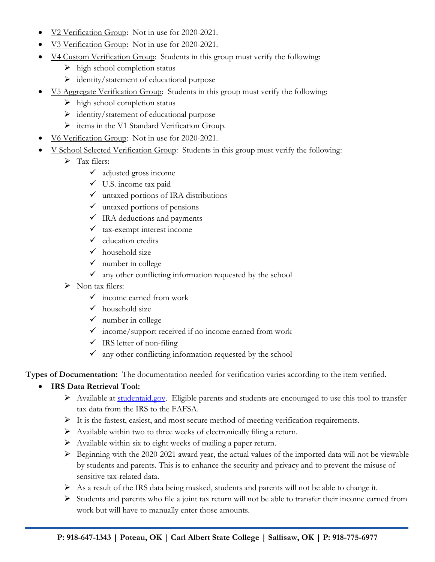- V<sub>2</sub> Verification Group: Not in use for 2020-2021.
- V<sub>3</sub> Verification Group: Not in use for 2020-2021.
- V4 Custom Verification Group: Students in this group must verify the following:
	- $\triangleright$  high school completion status
	- ➢ identity/statement of educational purpose
- V5 Aggregate Verification Group: Students in this group must verify the following:
	- $\triangleright$  high school completion status
	- ➢ identity/statement of educational purpose
	- ➢ items in the V1 Standard Verification Group.
- V6 Verification Group: Not in use for 2020-2021.
- V School Selected Verification Group: Students in this group must verify the following:
	- ➢ Tax filers:
		- $\checkmark$  adjusted gross income
		- ✓ U.S. income tax paid
		- $\checkmark$  untaxed portions of IRA distributions
		- $\checkmark$  untaxed portions of pensions
		- $\checkmark$  IRA deductions and payments
		- $\checkmark$  tax-exempt interest income
		- $\checkmark$  education credits
		- $\checkmark$  household size
		- $\checkmark$  number in college
		- $\checkmark$  any other conflicting information requested by the school
	- ➢ Non tax filers:
		- $\checkmark$  income earned from work
		- $\checkmark$  household size
		- $\checkmark$  number in college
		- $\checkmark$  income/support received if no income earned from work
		- $\checkmark$  IRS letter of non-filing
		- $\checkmark$  any other conflicting information requested by the school

**Types of Documentation:** The documentation needed for verification varies according to the item verified.

#### • **IRS Data Retrieval Tool:**

- ➢ Available at [studentaid.gov.](https://studentaid.gov/h/apply-for-aid/fafsa) Eligible parents and students are encouraged to use this tool to transfer tax data from the IRS to the FAFSA.
- ➢ It is the fastest, easiest, and most secure method of meeting verification requirements.
- ➢ Available within two to three weeks of electronically filing a return.
- ➢ Available within six to eight weeks of mailing a paper return.
- ➢ Beginning with the 2020-2021 award year, the actual values of the imported data will not be viewable by students and parents. This is to enhance the security and privacy and to prevent the misuse of sensitive tax-related data.
- ➢ As a result of the IRS data being masked, students and parents will not be able to change it.
- ➢ Students and parents who file a joint tax return will not be able to transfer their income earned from work but will have to manually enter those amounts.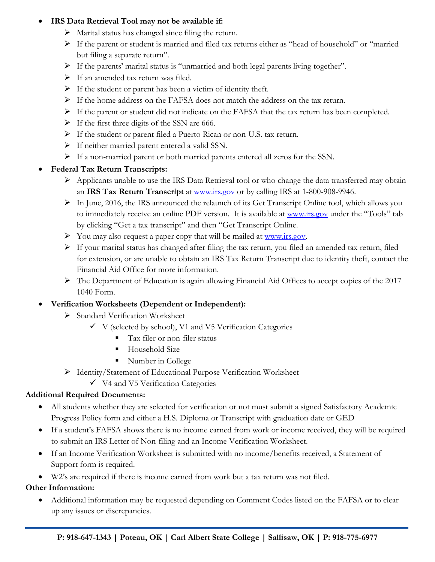#### • **IRS Data Retrieval Tool may not be available if:**

- $\triangleright$  Marital status has changed since filing the return.
- ➢ If the parent or student is married and filed tax returns either as "head of household" or "married but filing a separate return".
- ➢ If the parents' marital status is "unmarried and both legal parents living together".
- ➢ If an amended tax return was filed.
- ➢ If the student or parent has been a victim of identity theft.
- ➢ If the home address on the FAFSA does not match the address on the tax return.
- ➢ If the parent or student did not indicate on the FAFSA that the tax return has been completed.
- $\triangleright$  If the first three digits of the SSN are 666.
- ➢ If the student or parent filed a Puerto Rican or non-U.S. tax return.
- ➢ If neither married parent entered a valid SSN.
- ➢ If a non-married parent or both married parents entered all zeros for the SSN.

#### • **Federal Tax Return Transcripts:**

- ➢ Applicants unable to use the IRS Data Retrieval tool or who change the data transferred may obtain an **IRS Tax Return Transcript** at [www.irs.gov](http://www.irs.gov/) or by calling IRS at 1-800-908-9946.
- ➢ In June, 2016, the IRS announced the relaunch of its Get Transcript Online tool, which allows you to immediately receive an online PDF version. It is available at [www.irs.gov](http://www.irs.gov/) under the "Tools" tab by clicking "Get a tax transcript" and then "Get Transcript Online.
- $\triangleright$  You may also request a paper copy that will be mailed at [www.irs.gov.](http://www.irs.gov/)
- ➢ If your marital status has changed after filing the tax return, you filed an amended tax return, filed for extension, or are unable to obtain an IRS Tax Return Transcript due to identity theft, contact the Financial Aid Office for more information.
- ➢ The Department of Education is again allowing Financial Aid Offices to accept copies of the 2017 1040 Form.

### • **Verification Worksheets (Dependent or Independent):**

- ➢ Standard Verification Worksheet
	- $\checkmark$  V (selected by school), V1 and V5 Verification Categories
		- **Tax filer or non-filer status**
		- **EXECUTE:** Household Size
		- Number in College
- ➢ Identity/Statement of Educational Purpose Verification Worksheet
	- ✓ V4 and V5 Verification Categories

### **Additional Required Documents:**

- All students whether they are selected for verification or not must submit a signed Satisfactory Academic Progress Policy form and either a H.S. Diploma or Transcript with graduation date or GED
- If a student's FAFSA shows there is no income earned from work or income received, they will be required to submit an IRS Letter of Non-filing and an Income Verification Worksheet.
- If an Income Verification Worksheet is submitted with no income/benefits received, a Statement of Support form is required.
- W2's are required if there is income earned from work but a tax return was not filed.

### **Other Information:**

• Additional information may be requested depending on Comment Codes listed on the FAFSA or to clear up any issues or discrepancies.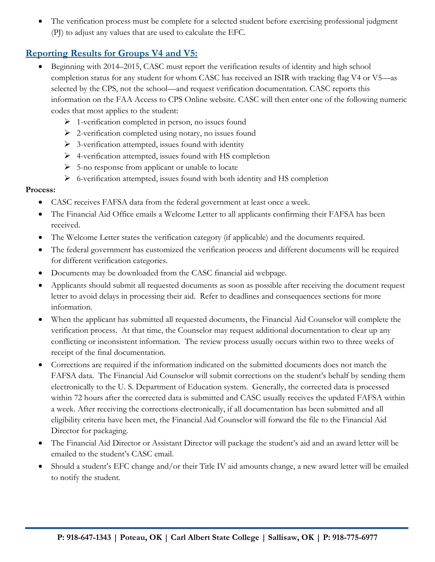The verification process must be complete for a selected student before exercising professional judgment (PJ) to adjust any values that are used to calculate the EFC.

## **Reporting Results for Groups V4 and V5:**

- Beginning with 2014–2015, CASC must report the verification results of identity and high school completion status for any student for whom CASC has received an ISIR with tracking flag V4 or V5—as selected by the CPS, not the school—and request verification documentation. CASC reports this information on the FAA Access to CPS Online website. CASC will then enter one of the following numeric codes that most applies to the student:
	- $\triangleright$  1-verification completed in person, no issues found
	- ➢ 2-verification completed using notary, no issues found
	- $\triangleright$  3-verification attempted, issues found with identity
	- ➢ 4-verification attempted, issues found with HS completion
	- ➢ 5-no response from applicant or unable to locate
	- $\triangleright$  6-verification attempted, issues found with both identity and HS completion

#### **Process:**

- CASC receives FAFSA data from the federal government at least once a week.
- The Financial Aid Office emails a Welcome Letter to all applicants confirming their FAFSA has been received.
- The Welcome Letter states the verification category (if applicable) and the documents required.
- The federal government has customized the verification process and different documents will be required for different verification categories.
- Documents may be downloaded from the CASC financial aid webpage.
- Applicants should submit all requested documents as soon as possible after receiving the document request letter to avoid delays in processing their aid. Refer to deadlines and consequences sections for more information.
- When the applicant has submitted all requested documents, the Financial Aid Counselor will complete the verification process. At that time, the Counselor may request additional documentation to clear up any conflicting or inconsistent information. The review process usually occurs within two to three weeks of receipt of the final documentation.
- Corrections are required if the information indicated on the submitted documents does not match the FAFSA data. The Financial Aid Counselor will submit corrections on the student's behalf by sending them electronically to the U. S. Department of Education system. Generally, the corrected data is processed within 72 hours after the corrected data is submitted and CASC usually receives the updated FAFSA within a week. After receiving the corrections electronically, if all documentation has been submitted and all eligibility criteria have been met, the Financial Aid Counselor will forward the file to the Financial Aid Director for packaging.
- The Financial Aid Director or Assistant Director will package the student's aid and an award letter will be emailed to the student's CASC email.
- Should a student's EFC change and/or their Title IV aid amounts change, a new award letter will be emailed to notify the student.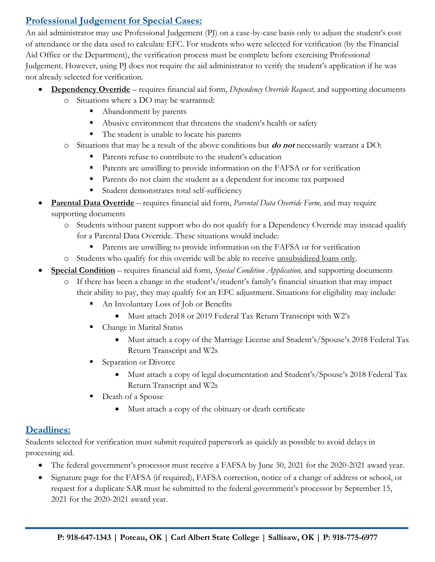# **Professional Judgement for Special Cases:**

An aid administrator may use Professional Judgement (PJ) on a case-by-case basis only to adjust the student's cost of attendance or the data used to calculate EFC. For students who were selected for verification (by the Financial Aid Office or the Department), the verification process must be complete before exercising Professional Judgement. However, using PJ does not require the aid administrator to verify the student's application if he was not already selected for verification.

- **Dependency Override** requires financial aid form, *Dependency Override Request,* and supporting documents
	- o Situations where a DO may be warranted:
		- Abandonment by parents
		- Abusive environment that threatens the student's health or safety
		- The student is unable to locate his parents
	- o Situations that may be a result of the above conditions but **do not** necessarily warrant a DO:
		- Parents refuse to contribute to the student's education
		- **•** Parents are unwilling to provide information on the FAFSA or for verification
		- Parents do not claim the student as a dependent for income tax purposed
		- Student demonstrates total self-sufficiency
- **Parental Data Override** requires financial aid form, *Parental Data Override Form,* and may require supporting documents
	- o Students without parent support who do not qualify for a Dependency Override may instead qualify for a Parental Data Override. These situations would include:
		- Parents are unwilling to provide information on the FAFSA or for verification
	- o Students who qualify for this override will be able to receive unsubsidized loans only.
- **Special Condition** requires financial aid form, *Special Condition Application,* and supporting documents
	- o If there has been a change in the student's/student's family's financial situation that may impact their ability to pay, they may qualify for an EFC adjustment. Situations for eligibility may include:
		- An Involuntary Loss of Job or Benefits
			- Must attach 2018 or 2019 Federal Tax Return Transcript with W2's
		- Change in Marital Status
			- Must attach a copy of the Marriage License and Student's/Spouse's 2018 Federal Tax Return Transcript and W2s
		- Separation or Divorce
			- Must attach a copy of legal documentation and Student's/Spouse's 2018 Federal Tax Return Transcript and W2s
		- Death of a Spouse
			- Must attach a copy of the obituary or death certificate

# **Deadlines:**

Students selected for verification must submit required paperwork as quickly as possible to avoid delays in processing aid.

- The federal government's processor must receive a FAFSA by June 30, 2021 for the 2020-2021 award year.
- Signature page for the FAFSA (if required), FAFSA correction, notice of a change of address or school, or request for a duplicate SAR must be submitted to the federal government's processor by September 15, 2021 for the 2020-2021 award year.